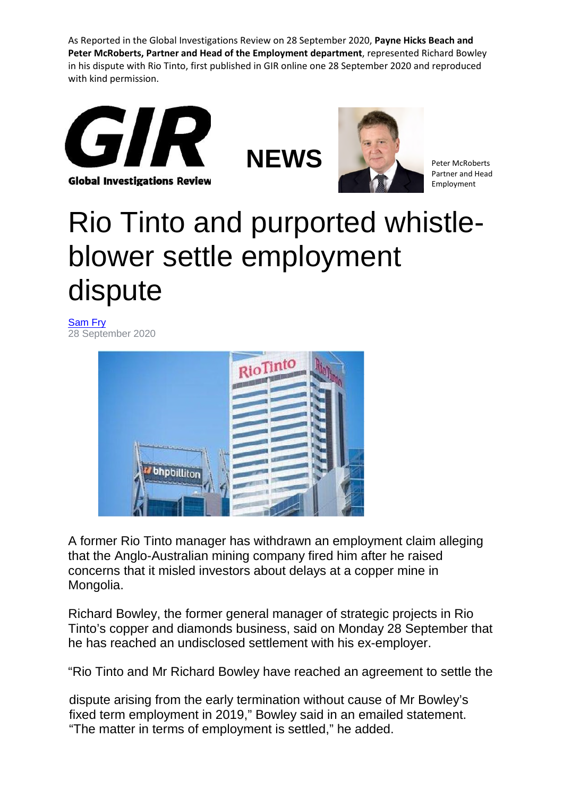As Reported in the Global Investigations Review on 28 September 2020, **Payne Hicks Beach and Peter McRoberts, Partner and Head of the Employment department**, represented Richard Bowley in his dispute with Rio Tinto, first published in GIR online one 28 September 2020 and reproduced with kind permission.







Partner and Head Employment

## Rio Tinto and purported whistleblower settle employment dispute

[Sam Fry](https://globalinvestigationsreview.com/author/profile/1017190/sam-fry) 28 September 2020



A former Rio Tinto manager has withdrawn an employment claim alleging that the Anglo-Australian mining company fired him after he raised concerns that it misled investors about delays at a copper mine in Mongolia.

Richard Bowley, the former general manager of strategic projects in Rio Tinto's copper and diamonds business, said on Monday 28 September that he has reached an undisclosed settlement with his ex-employer.

"Rio Tinto and Mr Richard Bowley have reached an agreement to settle the

dispute arising from the early termination without cause of Mr Bowley's fixed term employment in 2019," Bowley said in an emailed statement. "The matter in terms of employment is settled," he added.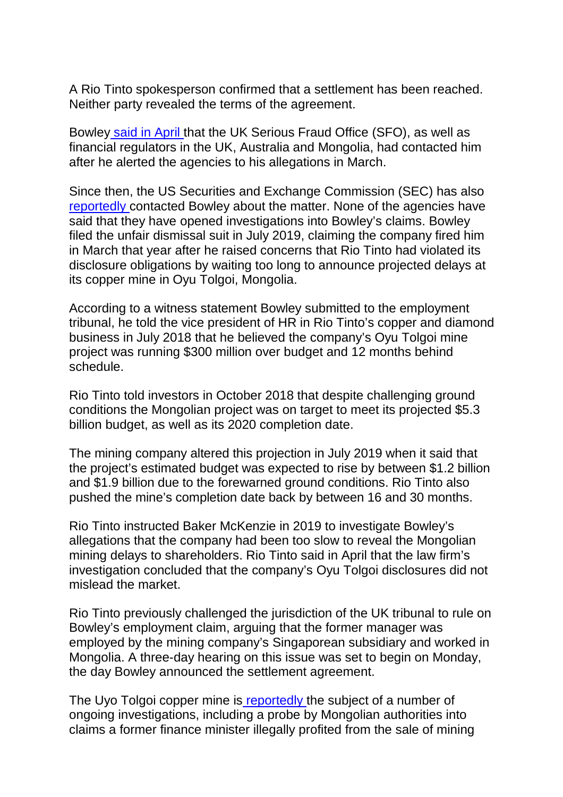A Rio Tinto spokesperson confirmed that a settlement has been reached. Neither party revealed the terms of the agreement.

Bowle[y said in April t](https://globalinvestigationsreview.com/article/1225053/sfo-contacts-ex-rio-tinto-executive-over-fraud-allegations)hat the UK Serious Fraud Office (SFO), as well as financial regulators in the UK, Australia and Mongolia, had contacted him after he alerted the agencies to his allegations in March.

Since then, the US Securities and Exchange Commission (SEC) has als[o](https://www.ft.com/content/3537bf78-6aed-4588-9c15-5f14375f0f60?accessToken=zwAAAXRoEqcYkc81N794au1FiNOcFV8UN18PYA.MEQCIFYEQs3t5QfJB4yj5KZrehQtFTwTPZdK4FmGZkm0a9g5AiAXh75GNV2QHkkujHiBCynpuebQKLb1kzJV7XkNUoF5Mw&sharetype=gift?token=72edadb5-8778-4eb4-a451-8d0d0ed132f5) [reportedly c](https://www.ft.com/content/3537bf78-6aed-4588-9c15-5f14375f0f60?accessToken=zwAAAXRoEqcYkc81N794au1FiNOcFV8UN18PYA.MEQCIFYEQs3t5QfJB4yj5KZrehQtFTwTPZdK4FmGZkm0a9g5AiAXh75GNV2QHkkujHiBCynpuebQKLb1kzJV7XkNUoF5Mw&sharetype=gift?token=72edadb5-8778-4eb4-a451-8d0d0ed132f5)ontacted Bowley about the matter. None of the agencies have said that they have opened investigations into Bowley's claims. Bowley filed the unfair dismissal suit in July 2019, claiming the company fired him in March that year after he raised concerns that Rio Tinto had violated its disclosure obligations by waiting too long to announce projected delays at its copper mine in Oyu Tolgoi, Mongolia.

According to a witness statement Bowley submitted to the employment tribunal, he told the vice president of HR in Rio Tinto's copper and diamond business in July 2018 that he believed the company's Oyu Tolgoi mine project was running \$300 million over budget and 12 months behind schedule.

Rio Tinto told investors in October 2018 that despite challenging ground conditions the Mongolian project was on target to meet its projected \$5.3 billion budget, as well as its 2020 completion date.

The mining company altered this projection in July 2019 when it said that the project's estimated budget was expected to rise by between \$1.2 billion and \$1.9 billion due to the forewarned ground conditions. Rio Tinto also pushed the mine's completion date back by between 16 and 30 months.

Rio Tinto instructed Baker McKenzie in 2019 to investigate Bowley's allegations that the company had been too slow to reveal the Mongolian mining delays to shareholders. Rio Tinto said in April that the law firm's investigation concluded that the company's Oyu Tolgoi disclosures did not mislead the market.

Rio Tinto previously challenged the jurisdiction of the UK tribunal to rule on Bowley's employment claim, arguing that the former manager was employed by the mining company's Singaporean subsidiary and worked in Mongolia. A three-day hearing on this issue was set to begin on Monday, the day Bowley announced the settlement agreement.

The Uyo Tolgoi copper mine i[s reportedly t](https://www.reuters.com/article/us-mining-riotinto-mongolia/mongolia-overseas-investigators-probe-oyu-tolgoi-corruption-claims-as-ex-minister-re-arrested-idUSKCN1PN0OY)he subject of a number of ongoing investigations, including a probe by Mongolian authorities into claims a former finance minister illegally profited from the sale of mining